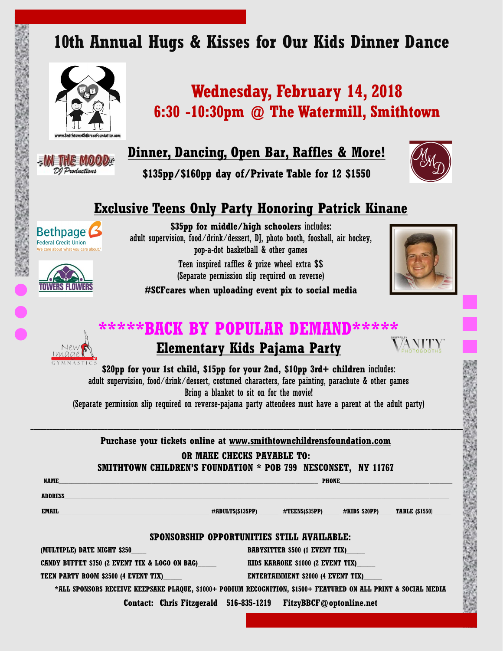# **10th Annual Hugs & Kisses for Our Kids Dinner Dance**



# **EINETHE MOO**

DI Productions

# **Wednesday, February 14, 2018 6:30 -10:30pm @ The Watermill, Smithtown**

**Dinner, Dancing, Open Bar, Raffles & More!**

**\$135pp/\$160pp day of/Private Table for 12 \$1550**



### **Exclusive Teens Only Party Honoring Patrick Kinane**

**Bethpage Federal Credit Union** 



**\$35pp for middle/high schoolers** includes: adult supervision, food/drink/dessert, DJ, photo booth, foosball, air hockey, pop-a-dot basketball & other games

> Teen inspired raffles & prize wheel extra \$\$ (Separate permission slip required on reverse)



**#SCFcares when uploading event pix to social media**

# **\*\*\*\*\*BACK BY POPULAR DEMAND\*\*\*\*\***



### **Elementary Kids Pajama Party**



**\$20pp for your 1st child, \$15pp for your 2nd, \$10pp 3rd+ children** includes: adult supervision, food/drink/dessert, costumed characters, face painting, parachute & other games Bring a blanket to sit on for the movie!

(Separate permission slip required on reverse-pajama party attendees must have a parent at the adult party)

\_\_\_\_\_\_\_\_\_\_\_\_\_\_\_\_\_\_\_\_\_\_\_\_\_\_\_\_\_\_\_\_\_\_\_\_\_\_\_\_\_\_\_\_\_\_\_\_\_\_\_\_\_\_\_\_\_\_\_\_\_\_\_\_\_\_\_\_\_\_\_\_\_\_\_\_\_\_\_\_\_\_\_\_\_\_\_\_\_\_\_\_\_\_\_\_\_\_\_\_\_\_\_\_\_\_\_\_\_\_\_\_\_\_\_\_\_\_\_\_\_\_\_\_\_\_\_\_\_\_\_\_\_\_\_ **Purchase your tickets online at www.smithtownchildrensfoundation.com** 

#### **OR MAKE CHECKS PAYABLE TO:**

**SMITHTOWN CHILDREN'S FOUNDATION \* POB 799 NESCONSET, NY 11767**

 **NAME\_\_\_\_\_\_\_\_\_\_\_\_\_\_\_\_\_\_\_\_\_\_\_\_\_\_\_\_\_\_\_\_\_\_\_\_\_\_\_\_\_\_\_\_\_\_\_\_\_\_\_\_\_\_\_\_\_\_\_\_\_\_\_\_\_\_\_\_\_\_\_\_\_\_\_\_\_\_\_\_\_ PHONE\_\_\_\_\_\_\_\_\_\_\_\_\_\_\_\_\_\_\_\_\_\_\_\_\_\_\_\_\_\_\_\_\_\_\_ ADDRESS\_\_\_\_\_\_\_\_\_\_\_\_\_\_\_\_\_\_\_\_\_\_\_\_\_\_\_\_\_\_\_\_\_\_\_\_\_\_\_\_\_\_\_\_\_\_\_\_\_\_\_\_\_\_\_\_\_\_\_\_\_\_\_\_\_\_\_\_\_\_\_\_\_\_\_\_\_\_\_\_\_\_\_\_\_\_\_\_\_\_\_\_\_\_\_\_\_\_\_\_\_\_\_\_\_\_\_\_\_\_\_\_\_\_\_\_\_\_\_\_**

 **EMAIL\_\_\_\_\_\_\_\_\_\_\_\_\_\_\_\_\_\_\_\_\_\_\_\_\_\_\_\_\_\_\_\_\_\_\_\_\_\_\_\_\_\_\_\_\_\_\_ #ADULTS(\$135PP) \_\_\_\_\_\_ #TEENS(\$35PP)\_\_\_\_\_ #KIDS \$20PP)\_\_\_\_ TABLE (\$1550**) \_\_\_\_\_

#### **SPONSORSHIP OPPORTUNITIES STILL AVAILABLE:**

**(MULTIPLE) DATE NIGHT \$250\_\_\_\_ BABYSITTER \$500 (1 EVENT TIX)\_\_\_\_\_**

**CANDY BUFFET \$750 (2 EVENT TIX & LOGO ON BAG)\_\_\_\_\_ KIDS KARAOKE \$1000 (2 EVENT TIX)\_\_\_\_\_**

**TEEN PARTY ROOM \$2500 (4 EVENT TIX) ENTERTAINMENT \$2000 (4 EVENT TIX)** 

**\*ALL SPONSORS RECEIVE KEEPSAKE PLAQUE, \$1000+ PODIUM RECOGNITION, \$1500+ FEATURED ON ALL PRINT & SOCIAL MEDIA** 

**Contact: Chris Fitzgerald 516-835-1219 FitzyBBCF@optonline.net**